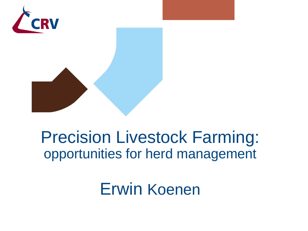

# Precision Livestock Farming: opportunities for herd management

Erwin Koenen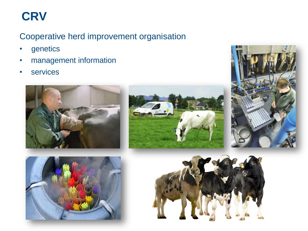## **CRV**

#### Cooperative herd improvement organisation

- genetics
- management information
- services









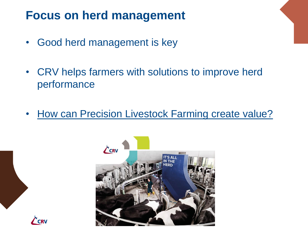### **Focus on herd management**

- Good herd management is key
- CRV helps farmers with solutions to improve herd performance
- How can Precision Livestock Farming create value?



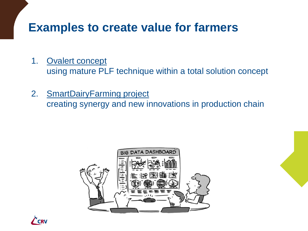### **Examples to create value for farmers**

1. Ovalert concept

using mature PLF technique within a total solution concept

2. SmartDairyFarming project

creating synergy and new innovations in production chain



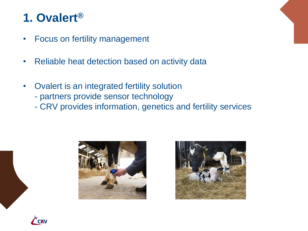## **1. Ovalert®**

- Focus on fertility management
- Reliable heat detection based on activity data
- Ovalert is an integrated fertility solution
	- partners provide sensor technology
	- CRV provides information, genetics and fertility services





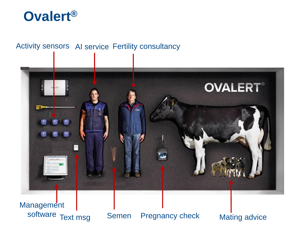

#### Activity sensors AI service Fertility consultancy



**Management** software Text msg Semen Pregnancy check Mating advice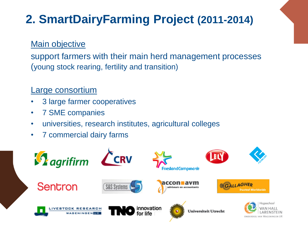## **2. SmartDairyFarming Project (2011-2014)**

#### Main objective

support farmers with their main herd management processes (young stock rearing, fertility and transition)

#### Large consortium

- 3 large farmer cooperatives
- 7 SME companies
- universities, research institutes, agricultural colleges
- 7 commercial dairy farms

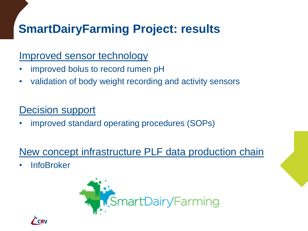## **SmartDairyFarming Project: results**

#### Improved sensor technology

- improved bolus to record rumen pH
- validation of body weight recording and activity sensors

#### Decision support

• improved standard operating procedures (SOPs)

### New concept infrastructure PLF data production chain

**InfoBroker** 



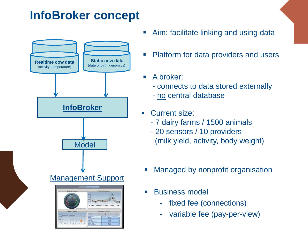## **InfoBroker concept**



- Aim: facilitate linking and using data
- Platform for data providers and users
- **A broker:** 
	- connects to data stored externally
	- no central database
- Current size:
	- 7 dairy farms / 1500 animals
- 20 sensors / 10 providers Model **Model** (milk yield, activity, body weight)
	- **Managed by nonprofit organisation**
	- **Business model** 
		- fixed fee (connections)
		- variable fee (pay-per-view)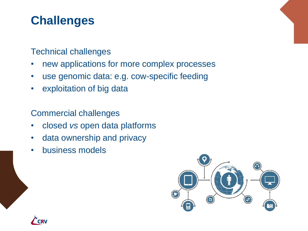## **Challenges**

#### Technical challenges

- new applications for more complex processes
- use genomic data: e.g. cow-specific feeding
- exploitation of big data

#### Commercial challenges

- closed *vs* open data platforms
- data ownership and privacy
- business models



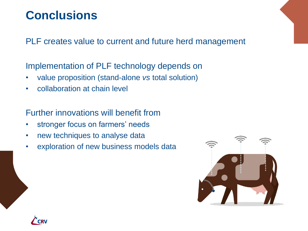### **Conclusions**

PLF creates value to current and future herd management

Implementation of PLF technology depends on

- value proposition (stand-alone *vs* total solution)
- collaboration at chain level

Further innovations will benefit from

- stronger focus on farmers' needs
- new techniques to analyse data
- exploration of new business models data